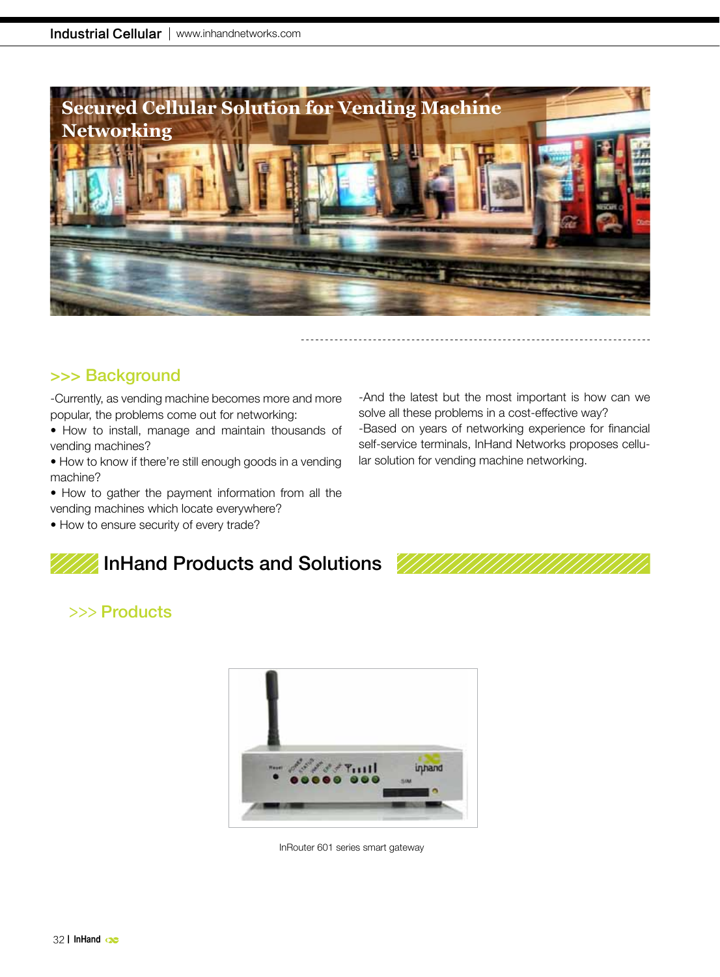

## >>> Background

-Currently, as vending machine becomes more and more popular, the problems come out for networking:

- How to install, manage and maintain thousands of vending machines?
- How to know if there're still enough goods in a vending machine?
- How to gather the payment information from all the vending machines which locate everywhere?
- How to ensure security of every trade?

# InHand Products and Solutions

#### -And the latest but the most important is how can we solve all these problems in a cost-effective way? -Based on years of networking experience for financial self-service terminals, InHand Networks proposes cellular solution for vending machine networking.



# >>> Products



InRouter 601 series smart gateway